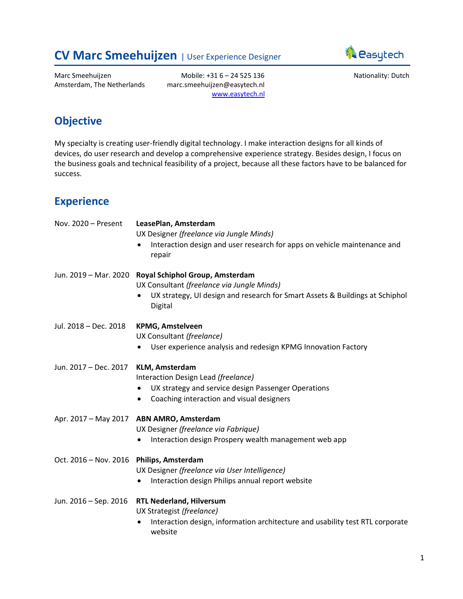# <span id="page-0-0"></span>**CV Marc Smeehuijzen** | User Experience Designer



Marc Smeehuijzen Amsterdam, The Netherlands

Mobile: +31 6 – 24 525 136 marc.smeehuijzen@easytech.nl [www.easytech.nl](http://www.easytech.nl/) Nationality: Dutch

## **Objective**

My specialty is creating user-friendly digital technology. I make interaction designs for all kinds of devices, do user research and develop a comprehensive experience strategy. Besides design, I focus on the business goals and technical feasibility of a project, because all these factors have to be balanced for success.

## **Experience**

| Nov. 2020 - Present                      | LeasePlan, Amsterdam                                                                                                |
|------------------------------------------|---------------------------------------------------------------------------------------------------------------------|
|                                          | UX Designer (freelance via Jungle Minds)                                                                            |
|                                          | Interaction design and user research for apps on vehicle maintenance and<br>$\bullet$<br>repair                     |
|                                          | Jun. 2019 - Mar. 2020 Royal Schiphol Group, Amsterdam<br>UX Consultant (freelance via Jungle Minds)                 |
|                                          | UX strategy, UI design and research for Smart Assets & Buildings at Schiphol<br>$\bullet$<br>Digital                |
| Jul. 2018 - Dec. 2018                    | <b>KPMG, Amstelveen</b><br>UX Consultant (freelance)                                                                |
|                                          | User experience analysis and redesign KPMG Innovation Factory                                                       |
| Jun. 2017 - Dec. 2017                    | <b>KLM, Amsterdam</b><br>Interaction Design Lead (freelance)<br>UX strategy and service design Passenger Operations |
|                                          | Coaching interaction and visual designers<br>$\bullet$                                                              |
|                                          | Apr. 2017 - May 2017 ABN AMRO, Amsterdam                                                                            |
|                                          | UX Designer (freelance via Fabrique)                                                                                |
|                                          | Interaction design Prospery wealth management web app                                                               |
| Oct. 2016 - Nov. 2016 Philips, Amsterdam |                                                                                                                     |
|                                          | UX Designer (freelance via User Intelligence)<br>Interaction design Philips annual report website                   |
|                                          |                                                                                                                     |
| Jun. 2016 - Sep. 2016                    | <b>RTL Nederland, Hilversum</b><br>UX Strategist (freelance)                                                        |
|                                          | Interaction design, information architecture and usability test RTL corporate<br>٠<br>website                       |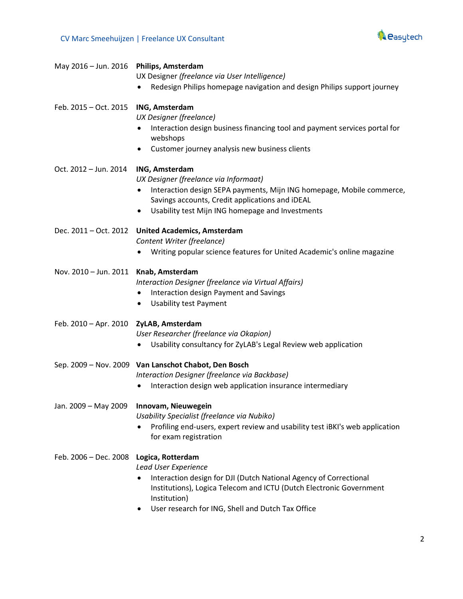

|                                         | UX Designer (freelance via User Intelligence)<br>Redesign Philips homepage navigation and design Philips support journey                                                                                                                                    |
|-----------------------------------------|-------------------------------------------------------------------------------------------------------------------------------------------------------------------------------------------------------------------------------------------------------------|
| Feb. 2015 - Oct. 2015                   | ING, Amsterdam<br>UX Designer (freelance)<br>Interaction design business financing tool and payment services portal for<br>webshops<br>Customer journey analysis new business clients<br>٠                                                                  |
| Oct. 2012 - Jun. 2014                   | <b>ING, Amsterdam</b><br>UX Designer (freelance via Informaat)<br>Interaction design SEPA payments, Mijn ING homepage, Mobile commerce,<br>Savings accounts, Credit applications and iDEAL<br>Usability test Mijn ING homepage and Investments<br>$\bullet$ |
|                                         | Dec. 2011 - Oct. 2012 United Academics, Amsterdam<br>Content Writer (freelance)<br>Writing popular science features for United Academic's online magazine<br>٠                                                                                              |
| Nov. 2010 - Jun. 2011 Knab, Amsterdam   | Interaction Designer (freelance via Virtual Affairs)<br>Interaction design Payment and Savings<br>$\bullet$<br><b>Usability test Payment</b><br>٠                                                                                                           |
| Feb. 2010 - Apr. 2010 ZyLAB, Amsterdam  | User Researcher (freelance via Okapion)<br>Usability consultancy for ZyLAB's Legal Review web application                                                                                                                                                   |
|                                         | Sep. 2009 - Nov. 2009 Van Lanschot Chabot, Den Bosch<br>Interaction Designer (freelance via Backbase)<br>Interaction design web application insurance intermediary                                                                                          |
| Jan. 2009 - May 2009                    | Innovam, Nieuwegein<br>Usability Specialist (freelance via Nubiko)<br>Profiling end-users, expert review and usability test iBKI's web application<br>for exam registration                                                                                 |
| Feb. 2006 - Dec. 2008 Logica, Rotterdam | Lead User Experience<br>Interaction design for DJI (Dutch National Agency of Correctional<br>$\bullet$<br>Institutions), Logica Telecom and ICTU (Dutch Electronic Government<br>Institution)<br>User research for ING, Shell and Dutch Tax Office          |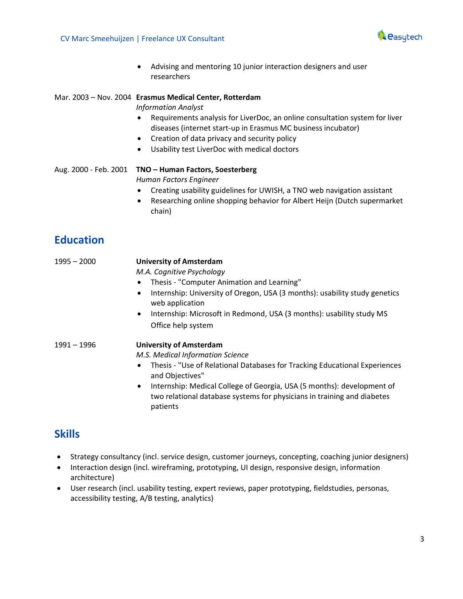

• Advising and mentoring 10 junior interaction designers and user researchers

### Mar. 2003 – Nov. 2004 **Erasmus Medical Center, Rotterdam**

*Information Analyst*

- Requirements analysis for LiverDoc, an online consultation system for liver diseases (internet start-up in Erasmus MC business incubator)
- Creation of data privacy and security policy
- Usability test LiverDoc with medical doctors

Aug. 2000 - Feb. 2001 **TNO – Human Factors, Soesterberg** *Human Factors Engineer*

- Creating usability guidelines for UWISH, a TNO web navigation assistant
- Researching online shopping behavior for Albert Heijn (Dutch supermarket chain)

## **Education**

| $1995 - 2000$ | <b>University of Amsterdam</b>                                                                                                                                             |
|---------------|----------------------------------------------------------------------------------------------------------------------------------------------------------------------------|
|               | M.A. Cognitive Psychology                                                                                                                                                  |
|               | Thesis - "Computer Animation and Learning"<br>$\bullet$                                                                                                                    |
|               | Internship: University of Oregon, USA (3 months): usability study genetics<br>$\bullet$<br>web application                                                                 |
|               | Internship: Microsoft in Redmond, USA (3 months): usability study MS<br>$\bullet$                                                                                          |
|               | Office help system                                                                                                                                                         |
| 1991 - 1996   | <b>University of Amsterdam</b>                                                                                                                                             |
|               | M.S. Medical Information Science                                                                                                                                           |
|               | Thesis - "Use of Relational Databases for Tracking Educational Experiences<br>$\bullet$<br>and Objectives"                                                                 |
|               | Internship: Medical College of Georgia, USA (5 months): development of<br>$\bullet$<br>two relational database systems for physicians in training and diabetes<br>patients |

### **Skills**

- Strategy consultancy (incl. service design, customer journeys, concepting, coaching junior designers)
- Interaction design (incl. wireframing, prototyping, UI design, responsive design, information architecture)
- User research (incl. usability testing, expert reviews, paper prototyping, fieldstudies, personas, accessibility testing, A/B testing, analytics)